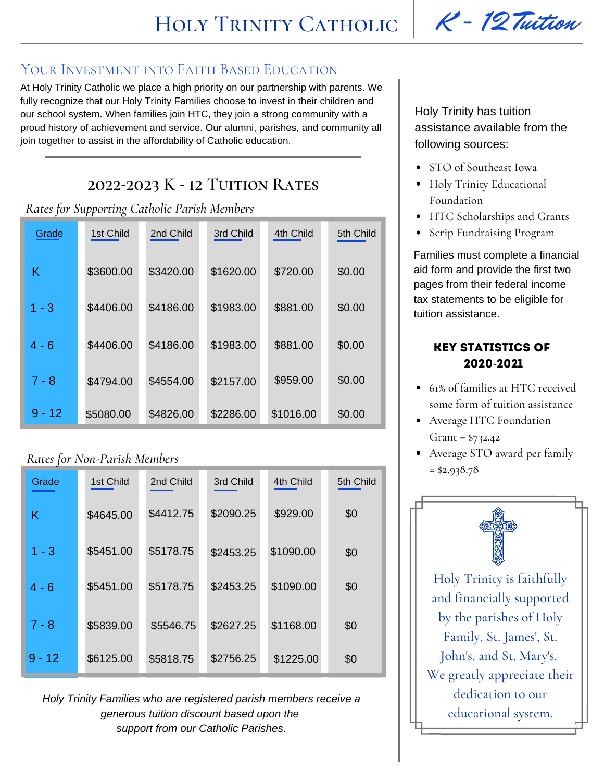## YOUR INVESTMENT INTO FAITH BASED EDUCATION

At Holy Trinity Catholic we place a high priority on our partnership with parents. We fully recognize that our Holy Trinity Families choose to invest in their children and our school system. When families join HTC, they join a strong community with a proud history of achievement and service. Our alumni, parishes, and community all join together to assist in the affordability of Catholic education.

# **2022-2023 K - 12 Tuition Rates**

*Rates for Supporting Catholic Parish Members*

| Grade    | 1st Child | 2nd Child | 3rd Child | 4th Child | 5th Child |
|----------|-----------|-----------|-----------|-----------|-----------|
| Κ        | \$3600.00 | \$3420.00 | \$1620.00 | \$720.00  | \$0.00    |
| $1 - 3$  | \$4406.00 | \$4186.00 | \$1983.00 | \$881.00  | \$0.00    |
| 4 - 6    | \$4406.00 | \$4186.00 | \$1983.00 | \$881.00  | \$0.00    |
| $7 - 8$  | \$4794.00 | \$4554.00 | \$2157.00 | \$959.00  | \$0.00    |
| $9 - 12$ | \$5080.00 | \$4826.00 | \$2286.00 | \$1016.00 | \$0.00    |

## *Rates for Non-Parish Members*

| Grade    | 1st Child | 2nd Child | 3rd Child | 4th Child | 5th Child |
|----------|-----------|-----------|-----------|-----------|-----------|
| Κ        | \$4645.00 | \$4412.75 | \$2090.25 | \$929.00  | \$0       |
| $1 - 3$  | \$5451.00 | \$5178.75 | \$2453.25 | \$1090.00 | \$0       |
| $4 - 6$  | \$5451.00 | \$5178.75 | \$2453.25 | \$1090.00 | \$0       |
| $7 - 8$  | \$5839.00 | \$5546.75 | \$2627.25 | \$1168.00 | \$0       |
| $9 - 12$ | \$6125.00 | \$5818.75 | \$2756.25 | \$1225.00 | \$0       |

*Holy Trinity Families who are registered parish members receive a generous tuition discount based upon the support from our Catholic Parishes.*

Holy Trinity has tuition assistance available from the following sources:

- STO of Southeast Iowa
- Holy Trinity Educational Foundation
- HTC Scholarships and Grants
- Scrip Fundraising Program

Families must complete a financial aid form and provide the first two pages from their federal income tax statements to be eligible for tuition assistance.

## Key Statistics of 2020-2021

- 61% of families at HTC received some form of tuition assistance
- Average HTC Foundation Grant = \$732.42
- Average STO award per family  $= $2,938.78$